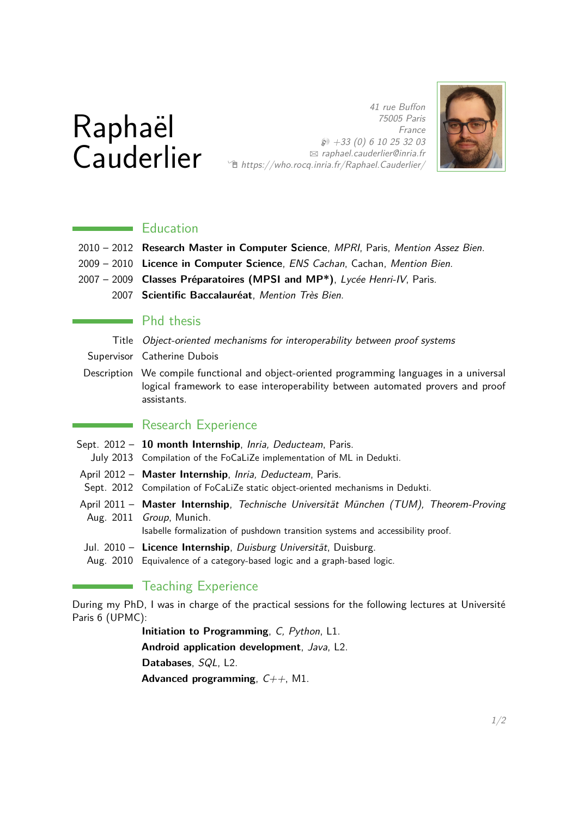# Raphaël **Cauderlier**

75005 Paris France  $$3$  +33 (0) 6 10 25 32 03 B [raphael.cauderlier@inria.fr](mailto:raphael.cauderlier@inria.fr) Í <https://who.rocq.inria.fr/Raphael.Cauderlier/>

41 rue Buffon



## **Education**

- 2010 2012 **Research Master in Computer Science**, MPRI, Paris, Mention Assez Bien.
- 2009 2010 **Licence in Computer Science**, ENS Cachan, Cachan, Mention Bien.
- 2007 2009 **Classes Préparatoires (MPSI and MP\*)**, Lycée Henri-IV, Paris.
	- 2007 **Scientific Baccalauréat**, Mention Très Bien.

#### **Phd thesis**

Title Object-oriented mechanisms for interoperability between proof systems

Supervisor Catherine Dubois

Description We compile functional and object-oriented programming languages in a universal logical framework to ease interoperability between automated provers and proof assistants.

### **Research Experience**

- Sept. 2012 **10 month Internship**, Inria, Deducteam, Paris.
- July 2013 Compilation of the FoCaLiZe implementation of ML in Dedukti.
- April 2012 **Master Internship**, Inria, Deducteam, Paris.
- Sept. 2012 Compilation of FoCaLiZe static object-oriented mechanisms in Dedukti.
- April 2011 **Master Internship**, Technische Universität München (TUM), Theorem-Proving Aug. 2011 Group, Munich.

Isabelle formalization of pushdown transition systems and accessibility proof.

- Jul. 2010 Licence Internship, Duisburg Universität, Duisburg.
- Aug. 2010 Equivalence of a category-based logic and a graph-based logic.

# **Teaching Experience**

During my PhD, I was in charge of the practical sessions for the following lectures at Université Paris 6 (UPMC):

**Initiation to Programming**, C, Python, L1.

**Android application development**, Java, L2.

**Databases**, SQL, L2.

**Advanced programming**,  $C_{++}$ , M1.